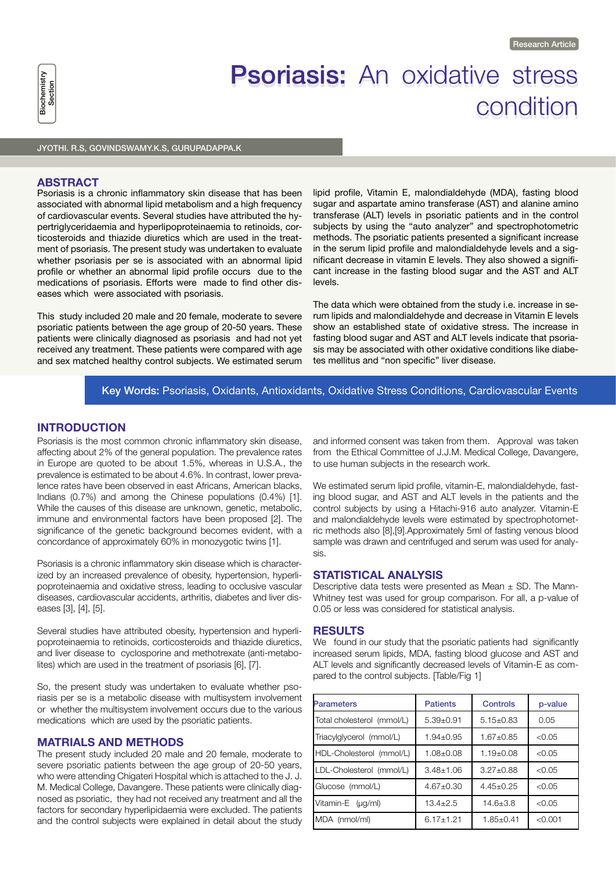

# Psoriasis: An oxidative stress condition

)<br>JYOTHI. R.S, GOVINDSWAMY.K.S, GURUPADAPPA.K<br>JYOTHI. R.S, GOVINDSWAMY.K.S, GURUPADAPPA.K

#### **ABSTRACT**

Psoriasis is a chronic inflammatory skin disease that has been associated with abnormal lipid metabolism and a high frequency of cardiovascular events. Several studies have attributed the hypertriglyceridaemia and hyperlipoproteinaemia to retinoids, corticosteroids and thiazide diuretics which are used in the treatment of psoriasis. The present study was undertaken to evaluate whether psoriasis per se is associated with an abnormal lipid profile or whether an abnormal lipid profile occurs due to the medications of psoriasis. Efforts were made to find other diseases which were associated with psoriasis.

This study included 20 male and 20 female, moderate to severe psoriatic patients between the age group of 20-50 years. These patients were clinically diagnosed as psoriasis and had not yet received any treatment. These patients were compared with age and sex matched healthy control subjects. We estimated serum lipid profile, Vitamin E, malondialdehyde (MDA), fasting blood sugar and aspartate amino transferase (AST) and alanine amino transferase (ALT) levels in psoriatic patients and in the control subjects by using the "auto analyzer" and spectrophotometric methods. The psoriatic patients presented a significant increase in the serum lipid profile and malondialdehyde levels and a significant decrease in vitamin E levels. They also showed a significant increase in the fasting blood sugar and the AST and ALT levels.

The data which were obtained from the study i.e. increase in serum lipids and malondialdehyde and decrease in Vitamin E levels show an established state of oxidative stress. The increase in fasting blood sugar and AST and ALT levels indicate that psoriasis may be associated with other oxidative conditions like diabetes mellitus and "non specific" liver disease.

# Key Words: Psoriasis, Oxidants, Antioxidants, Oxidative Stress Conditions, Cardiovascular Events

# **INTRODUCTION**

Psoriasis is the most common chronic inflammatory skin disease, affecting about 2% of the general population. The prevalence rates in Europe are quoted to be about 1.5%, whereas in U.S.A., the prevalence is estimated to be about 4.6%. In contrast, lower prevalence rates have been observed in east Africans, American blacks, Indians (0.7%) and among the Chinese populations (0.4%) [1]. While the causes of this disease are unknown, genetic, metabolic, immune and environmental factors have been proposed [2]. The significance of the genetic background becomes evident, with a concordance of approximately 60% in monozygotic twins [1].

Psoriasis is a chronic inflammatory skin disease which is characterized by an increased prevalence of obesity, hypertension, hyperlipoproteinaemia and oxidative stress, leading to occlusive vascular diseases, cardiovascular accidents, arthritis, diabetes and liver diseases [3], [4], [5].

Several studies have attributed obesity, hypertension and hyperlipoproteinaemia to retinoids, corticosteroids and thiazide diuretics, and liver disease to cyclosporine and methotrexate (anti-metabolites) which are used in the treatment of psoriasis [6], [7].

So, the present study was undertaken to evaluate whether psoriasis per se is a metabolic disease with multisystem involvement or whether the multisystem involvement occurs due to the various medications which are used by the psoriatic patients.

#### **MATRIALS AND METHODS**

The present study included 20 male and 20 female, moderate to severe psoriatic patients between the age group of 20-50 years, who were attending Chigateri Hospital which is attached to the J. J. M. Medical College, Davangere. These patients were clinically diagnosed as psoriatic, they had not received any treatment and all the factors for secondary hyperlipidaemia were excluded. The patients and the control subjects were explained in detail about the study

and informed consent was taken from them. Approval was taken from the Ethical Committee of J.J.M. Medical College, Davangere, to use human subjects in the research work.

We estimated serum lipid profile, vitamin-E, malondialdehyde, fasting blood sugar, and AST and ALT levels in the patients and the control subjects by using a Hitachi-916 auto analyzer. Vitamin-E and malondialdehyde levels were estimated by spectrophotometric methods also [8],[9].Approximately 5ml of fasting venous blood sample was drawn and centrifuged and serum was used for analysis.

#### **STATISTICAL ANALYSIS**

Descriptive data tests were presented as Mean  $\pm$  SD. The Mann-Whitney test was used for group comparison. For all, a p-value of 0.05 or less was considered for statistical analysis.

# **RESULTS**

We found in our study that the psoriatic patients had significantly increased serum lipids, MDA, fasting blood glucose and AST and ALT levels and significantly decreased levels of Vitamin-E as compared to the control subjects. [Table/Fig 1]

| <b>Parameters</b>          | <b>Patients</b> | Controls      | p-value |
|----------------------------|-----------------|---------------|---------|
| Total cholesterol (mmol/L) | $5.39 + 0.91$   | $5.15+0.83$   | 0.05    |
| Triacylglycerol (mmol/L)   | $1.94 + 0.95$   | $1.67 + 0.85$ | < 0.05  |
| HDL-Cholesterol (mmol/L)   | $1.08 + 0.08$   | $1.19 + 0.08$ | < 0.05  |
| LDL-Cholesterol (mmol/L)   | $3.48 + 1.06$   | $3.27 + 0.88$ | < 0.05  |
| Glucose (mmol/L)           | $4.67 + 0.30$   | $4.45+0.25$   | < 0.05  |
| Vitamin-E (µg/ml)          | $13.4 + 2.5$    | $14.6 + 3.8$  | < 0.05  |
| MDA (nmol/ml)              | $6.17 + 1.21$   | $1.85 + 0.41$ | < 0.001 |